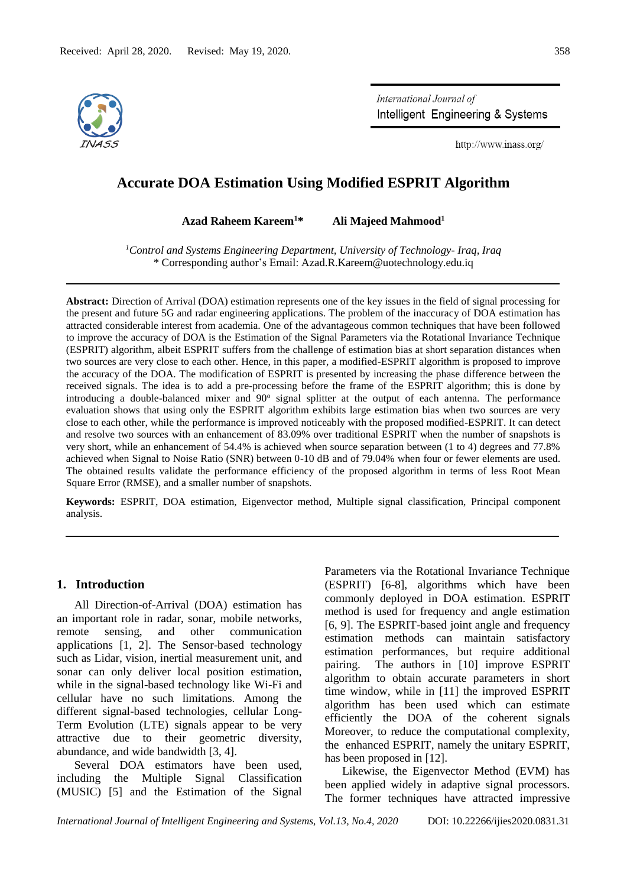

International Journal of Intelligent Engineering & Systems

http://www.inass.org/

## **Accurate DOA Estimation Using Modified ESPRIT Algorithm**

**Azad Raheem Kareem<sup>1</sup>\* Ali Majeed Mahmood<sup>1</sup>**

*<sup>1</sup>Control and Systems Engineering Department, University of Technology- Iraq, Iraq* \* Corresponding author's Email: Azad.R.Kareem@uotechnology.edu.iq

**Abstract:** Direction of Arrival (DOA) estimation represents one of the key issues in the field of signal processing for the present and future 5G and radar engineering applications. The problem of the inaccuracy of DOA estimation has attracted considerable interest from academia. One of the advantageous common techniques that have been followed to improve the accuracy of DOA is the Estimation of the Signal Parameters via the Rotational Invariance Technique (ESPRIT) algorithm, albeit ESPRIT suffers from the challenge of estimation bias at short separation distances when two sources are very close to each other. Hence, in this paper, a modified-ESPRIT algorithm is proposed to improve the accuracy of the DOA. The modification of ESPRIT is presented by increasing the phase difference between the received signals. The idea is to add a pre-processing before the frame of the ESPRIT algorithm; this is done by introducing a double-balanced mixer and 90° signal splitter at the output of each antenna. The performance evaluation shows that using only the ESPRIT algorithm exhibits large estimation bias when two sources are very close to each other, while the performance is improved noticeably with the proposed modified-ESPRIT. It can detect and resolve two sources with an enhancement of 83.09% over traditional ESPRIT when the number of snapshots is very short, while an enhancement of 54.4% is achieved when source separation between (1 to 4) degrees and 77.8% achieved when Signal to Noise Ratio (SNR) between 0-10 dB and of 79.04% when four or fewer elements are used. The obtained results validate the performance efficiency of the proposed algorithm in terms of less Root Mean Square Error (RMSE), and a smaller number of snapshots.

**Keywords:** ESPRIT, DOA estimation, Eigenvector method, Multiple signal classification, Principal component analysis.

### **1. Introduction**

All Direction-of-Arrival (DOA) estimation has an important role in radar, sonar, mobile networks, remote sensing, and other communication applications [1, 2]. The Sensor-based technology such as Lidar, vision, inertial measurement unit, and sonar can only deliver local position estimation, while in the signal-based technology like Wi-Fi and cellular have no such limitations. Among the different signal-based technologies, cellular Long-Term Evolution (LTE) signals appear to be very attractive due to their geometric diversity, abundance, and wide bandwidth [3, 4].

Several DOA estimators have been used, including the Multiple Signal Classification (MUSIC) [5] and the Estimation of the Signal

Parameters via the Rotational Invariance Technique (ESPRIT) [6-8], algorithms which have been commonly deployed in DOA estimation. ESPRIT method is used for frequency and angle estimation [6, 9]. The ESPRIT-based joint angle and frequency estimation methods can maintain satisfactory estimation performances, but require additional pairing. The authors in [10] improve ESPRIT algorithm to obtain accurate parameters in short time window, while in [11] the improved ESPRIT algorithm has been used which can estimate efficiently the DOA of the coherent signals Moreover, to reduce the computational complexity, the enhanced ESPRIT, namely the unitary ESPRIT, has been proposed in [12].

Likewise, the Eigenvector Method (EVM) has been applied widely in adaptive signal processors. The former techniques have attracted impressive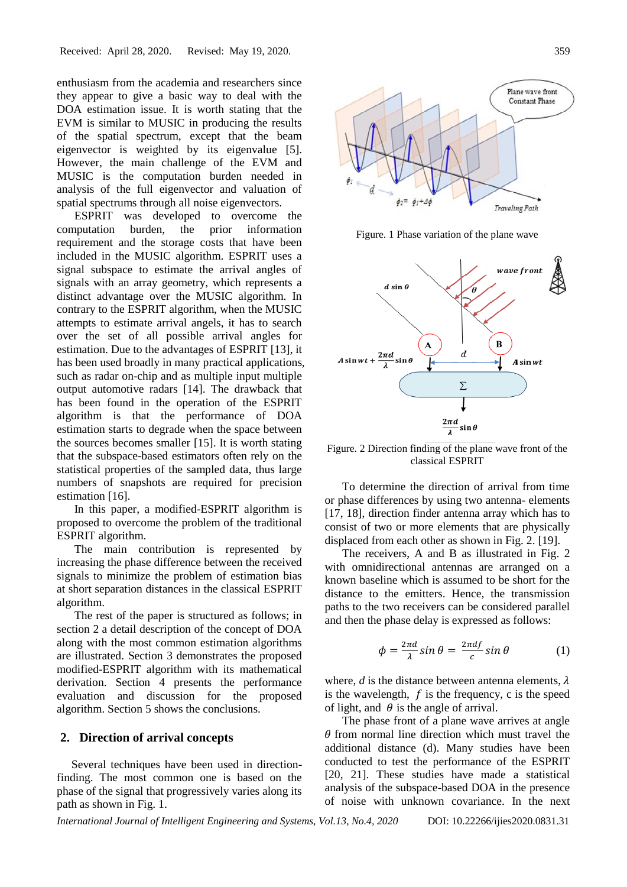enthusiasm from the academia and researchers since they appear to give a basic way to deal with the DOA estimation issue. It is worth stating that the EVM is similar to MUSIC in producing the results of the spatial spectrum, except that the beam eigenvector is weighted by its eigenvalue [5]. However, the main challenge of the EVM and MUSIC is the computation burden needed in analysis of the full eigenvector and valuation of spatial spectrums through all noise eigenvectors.

ESPRIT was developed to overcome the computation burden, the prior information requirement and the storage costs that have been included in the MUSIC algorithm. ESPRIT uses a signal subspace to estimate the arrival angles of signals with an array geometry, which represents a distinct advantage over the MUSIC algorithm. In contrary to the ESPRIT algorithm, when the MUSIC attempts to estimate arrival angels, it has to search over the set of all possible arrival angles for estimation. Due to the advantages of ESPRIT [13], it has been used broadly in many practical applications, such as radar on-chip and as multiple input multiple output automotive radars [14]. The drawback that has been found in the operation of the ESPRIT algorithm is that the performance of DOA estimation starts to degrade when the space between the sources becomes smaller [15]. It is worth stating that the subspace-based estimators often rely on the statistical properties of the sampled data, thus large numbers of snapshots are required for precision estimation [16].

In this paper, a modified-ESPRIT algorithm is proposed to overcome the problem of the traditional ESPRIT algorithm.

The main contribution is represented by increasing the phase difference between the received signals to minimize the problem of estimation bias at short separation distances in the classical ESPRIT algorithm.

The rest of the paper is structured as follows; in section 2 a detail description of the concept of DOA along with the most common estimation algorithms are illustrated. Section 3 demonstrates the proposed modified-ESPRIT algorithm with its mathematical derivation. Section 4 presents the performance evaluation and discussion for the proposed algorithm. Section 5 shows the conclusions.

#### **2. Direction of arrival concepts**

 Several techniques have been used in directionfinding. The most common one is based on the phase of the signal that progressively varies along its path as shown in Fig. 1.



Figure. 1 Phase variation of the plane wave



Figure. 2 Direction finding of the plane wave front of the classical ESPRIT

To determine the direction of arrival from time or phase differences by using two antenna- elements [17, 18], direction finder antenna array which has to consist of two or more elements that are physically displaced from each other as shown in Fig. 2. [19].

The receivers, A and B as illustrated in Fig. 2 with omnidirectional antennas are arranged on a known baseline which is assumed to be short for the distance to the emitters. Hence, the transmission paths to the two receivers can be considered parallel and then the phase delay is expressed as follows:

$$
\phi = \frac{2\pi d}{\lambda} \sin \theta = \frac{2\pi df}{c} \sin \theta \tag{1}
$$

where, *d* is the distance between antenna elements,  $\lambda$ is the wavelength,  $f$  is the frequency, c is the speed of light, and  $\theta$  is the angle of arrival.

The phase front of a plane wave arrives at angle  $\theta$  from normal line direction which must travel the additional distance (d). Many studies have been conducted to test the performance of the ESPRIT [20, 21]. These studies have made a statistical analysis of the subspace-based DOA in the presence of noise with unknown covariance. In the next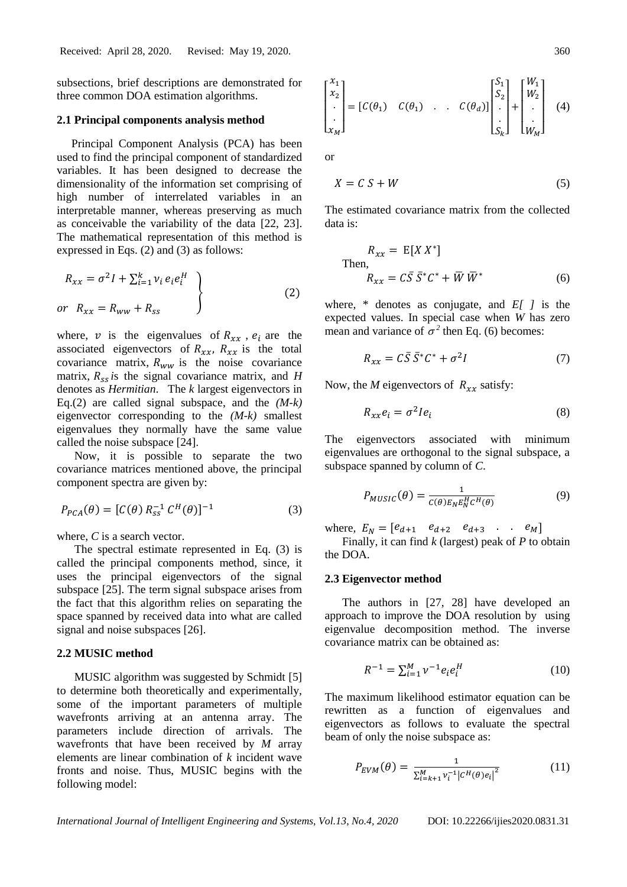subsections, brief descriptions are demonstrated for three common DOA estimation algorithms.

### **2.1 Principal components analysis method**

 Principal Component Analysis (PCA) has been used to find the principal component of standardized variables. It has been designed to decrease the dimensionality of the information set comprising of high number of interrelated variables in an interpretable manner, whereas preserving as much as conceivable the variability of the data [22, 23]. The mathematical representation of this method is expressed in Eqs. (2) and (3) as follows:

$$
R_{xx} = \sigma^2 I + \sum_{i=1}^{k} \nu_i e_i e_i^H
$$
  
or 
$$
R_{xx} = R_{ww} + R_{ss}
$$
 (2)

where, v is the eigenvalues of  $R_{xx}$ ,  $e_i$  are the associated eigenvectors of  $R_{xx}$ ,  $R_{xx}$  is the total covariance matrix,  $R_{ww}$  is the noise covariance matrix,  $R_{ss}$  is the signal covariance matrix, and *H* denotes as *Hermitian*. The *k* largest eigenvectors in Eq.(2) are called signal subspace, and the *(M-k)* eigenvector corresponding to the *(M-k)* smallest eigenvalues they normally have the same value called the noise subspace [24].

Now, it is possible to separate the two covariance matrices mentioned above, the principal component spectra are given by:

$$
P_{PCA}(\theta) = [C(\theta) R_{ss}^{-1} C^{H}(\theta)]^{-1}
$$
 (3)

where, *C* is a search vector.

The spectral estimate represented in Eq. (3) is called the principal components method, since, it uses the principal eigenvectors of the signal subspace [25]. The term signal subspace arises from the fact that this algorithm relies on separating the space spanned by received data into what are called signal and noise subspaces [26].

## **2.2 MUSIC method**

MUSIC algorithm was suggested by Schmidt [5] to determine both theoretically and experimentally, some of the important parameters of multiple wavefronts arriving at an antenna array. The parameters include direction of arrivals. The wavefronts that have been received by *M* array elements are linear combination of *k* incident wave fronts and noise. Thus, MUSIC begins with the following model:

$$
\begin{bmatrix} x_1 \\ x_2 \\ \vdots \\ x_M \end{bmatrix} = [C(\theta_1) \quad C(\theta_1) \quad . \quad C(\theta_d)] \begin{bmatrix} S_1 \\ S_2 \\ \vdots \\ S_k \end{bmatrix} + \begin{bmatrix} W_1 \\ W_2 \\ \vdots \\ W_M \end{bmatrix} \quad (4)
$$

or

$$
X = C S + W \tag{5}
$$

The estimated covariance matrix from the collected data is:

$$
R_{xx} = E[X X^*]
$$
  
Then,  

$$
R_{xx} = C\overline{S} \overline{S}^* C^* + \overline{W} \overline{W}^*
$$
(6)

where, \* denotes as conjugate, and *E[ ]* is the expected values. In special case when *W* has zero mean and variance of  $\sigma^2$  then Eq. (6) becomes:

$$
R_{xx} = C\bar{S}\,\bar{S}^*C^* + \sigma^2I\tag{7}
$$

Now, the *M* eigenvectors of  $R_{xx}$  satisfy:

$$
R_{xx}e_i = \sigma^2 I e_i \tag{8}
$$

The eigenvectors associated with minimum eigenvalues are orthogonal to the signal subspace, a subspace spanned by column of *C*.

$$
P_{MUSIC}(\theta) = \frac{1}{c(\theta)E_N E_N^H c^H(\theta)}\tag{9}
$$

where,  $E_N = [e_{d+1} \quad e_{d+2} \quad e_{d+3} \quad . \quad . \quad e_M]$ 

Finally, it can find *k* (largest) peak of *P* to obtain the DOA.

#### **2.3 Eigenvector method**

The authors in [27, 28] have developed an approach to improve the DOA resolution by using eigenvalue decomposition method. The inverse covariance matrix can be obtained as:

$$
R^{-1} = \sum_{i=1}^{M} \nu^{-1} e_i e_i^H \tag{10}
$$

The maximum likelihood estimator equation can be rewritten as a function of eigenvalues and eigenvectors as follows to evaluate the spectral beam of only the noise subspace as:

$$
P_{EVM}(\theta) = \frac{1}{\sum_{i=k+1}^{M} v_i^{-1} |C^H(\theta) e_i|^2}
$$
(11)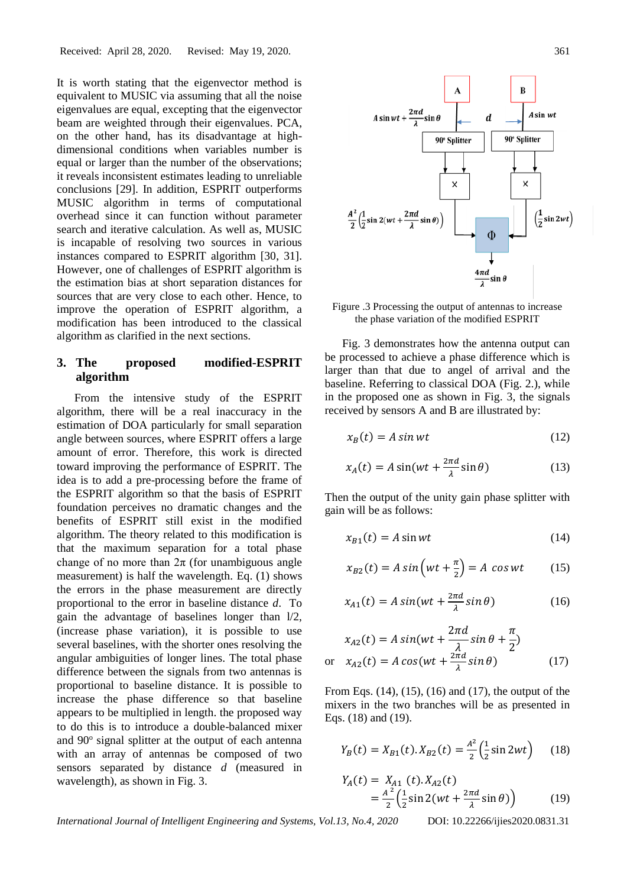It is worth stating that the eigenvector method is equivalent to MUSIC via assuming that all the noise eigenvalues are equal, excepting that the eigenvector beam are weighted through their eigenvalues. PCA, on the other hand, has its disadvantage at highdimensional conditions when variables number is equal or larger than the number of the observations; it reveals inconsistent estimates leading to unreliable conclusions [29]. In addition, ESPRIT outperforms MUSIC algorithm in terms of computational overhead since it can function without parameter search and iterative calculation. As well as, MUSIC is incapable of resolving two sources in various instances compared to ESPRIT algorithm [30, 31]. However, one of challenges of ESPRIT algorithm is the estimation bias at short separation distances for sources that are very close to each other. Hence, to improve the operation of ESPRIT algorithm, a modification has been introduced to the classical algorithm as clarified in the next sections.

# **3. The proposed modified-ESPRIT algorithm**

From the intensive study of the ESPRIT algorithm, there will be a real inaccuracy in the estimation of DOA particularly for small separation angle between sources, where ESPRIT offers a large amount of error. Therefore, this work is directed toward improving the performance of ESPRIT. The idea is to add a pre-processing before the frame of the ESPRIT algorithm so that the basis of ESPRIT foundation perceives no dramatic changes and the benefits of ESPRIT still exist in the modified algorithm. The theory related to this modification is that the maximum separation for a total phase change of no more than  $2\pi$  (for unambiguous angle measurement) is half the wavelength. Eq. (1) shows the errors in the phase measurement are directly proportional to the error in baseline distance *d*. To gain the advantage of baselines longer than l/2, (increase phase variation), it is possible to use several baselines, with the shorter ones resolving the angular ambiguities of longer lines. The total phase difference between the signals from two antennas is proportional to baseline distance. It is possible to increase the phase difference so that baseline appears to be multiplied in length. the proposed way to do this is to introduce a double-balanced mixer and 90° signal splitter at the output of each antenna with an array of antennas be composed of two sensors separated by distance *d* (measured in wavelength), as shown in Fig. 3.



Figure .3 Processing the output of antennas to increase the phase variation of the modified ESPRIT

Fig. 3 demonstrates how the antenna output can be processed to achieve a phase difference which is larger than that due to angel of arrival and the baseline. Referring to classical DOA (Fig. 2.), while in the proposed one as shown in Fig. 3, the signals received by sensors A and B are illustrated by:

$$
x_B(t) = A \sin wt \tag{12}
$$

$$
x_A(t) = A\sin(wt + \frac{2\pi d}{\lambda}\sin\theta)
$$
 (13)

Then the output of the unity gain phase splitter with gain will be as follows:

$$
x_{B1}(t) = A \sin wt \tag{14}
$$

$$
x_{B2}(t) = A \sin\left(wt + \frac{\pi}{2}\right) = A \cos wt \qquad (15)
$$

$$
x_{A1}(t) = A \sin(wt + \frac{2\pi d}{\lambda} \sin \theta)
$$
 (16)

$$
x_{A2}(t) = A \sin(wt + \frac{2\pi d}{\lambda} \sin \theta + \frac{\pi}{2})
$$
  
or 
$$
x_{A2}(t) = A \cos(wt + \frac{2\pi d}{\lambda} \sin \theta)
$$
 (17)

From Eqs. (14), (15), (16) and (17), the output of the mixers in the two branches will be as presented in Eqs. (18) and (19).

$$
Y_B(t) = X_{B1}(t).X_{B2}(t) = \frac{A^2}{2} \left(\frac{1}{2} \sin 2wt\right) \quad (18)
$$

$$
Y_A(t) = X_{A1} (t). X_{A2}(t)
$$
  
=  $\frac{A^2}{2} \left( \frac{1}{2} \sin 2(wt + \frac{2\pi d}{\lambda} \sin \theta) \right)$  (19)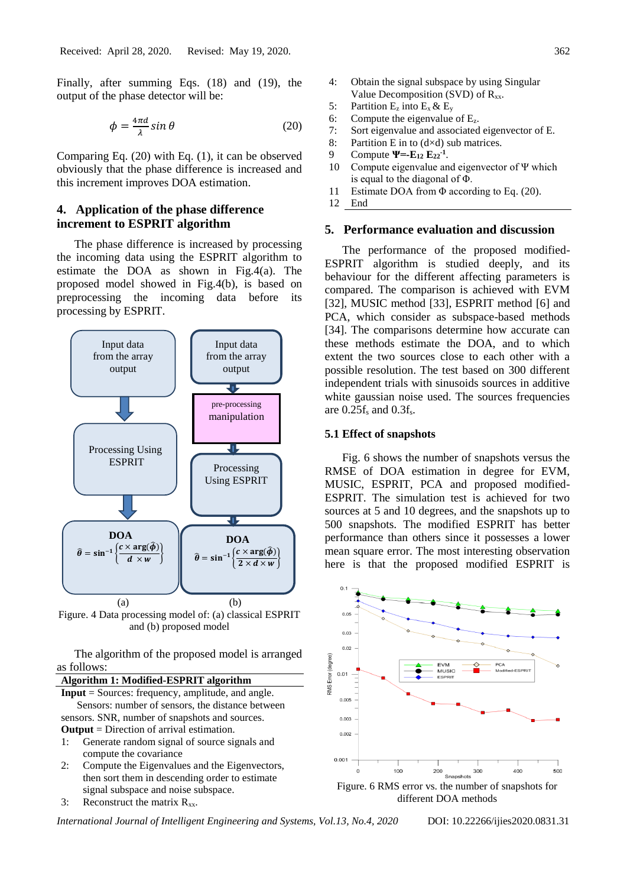Finally, after summing Eqs. (18) and (19), the output of the phase detector will be:

$$
\phi = \frac{4\pi d}{\lambda} \sin \theta \tag{20}
$$

Comparing Eq. (20) with Eq. (1), it can be observed obviously that the phase difference is increased and this increment improves DOA estimation.

## **4. Application of the phase difference increment to ESPRIT algorithm**

The phase difference is increased by processing the incoming data using the ESPRIT algorithm to estimate the DOA as shown in Fig.4(a). The proposed model showed in Fig.4(b), is based on preprocessing the incoming data before its processing by ESPRIT.



Figure. 4 Data processing model of: (a) classical ESPRIT and (b) proposed model

The algorithm of the proposed model is arranged as follows:



3: Reconstruct the matrix  $R_{xx}$ .

*International Journal of Intelligent Engineering and Systems, Vol.13, No.4, 2020* DOI: 10.22266/ijies2020.0831.31

- 4: Obtain the signal subspace by using Singular Value Decomposition (SVD) of  $R_{xx}$ .
- 5: Partition  $E_z$  into  $E_x \& E_y$
- 6: Compute the eigenvalue of  $E_z$ .
- 7: Sort eigenvalue and associated eigenvector of E.
- 8: Partition E in to  $(d \times d)$  sub matrices.
- 9 Compute **Ψ=-E<sup>12</sup> E22-1** .
- 10 Compute eigenvalue and eigenvector of Ψ which is equal to the diagonal of Φ.
- 11 Estimate DOA from Φ according to Eq. (20).
- 12 End

## **5. Performance evaluation and discussion**

The performance of the proposed modified-ESPRIT algorithm is studied deeply, and its behaviour for the different affecting parameters is compared. The comparison is achieved with EVM [32], MUSIC method [33], ESPRIT method [6] and PCA, which consider as subspace-based methods [34]. The comparisons determine how accurate can these methods estimate the DOA, and to which extent the two sources close to each other with a possible resolution. The test based on 300 different independent trials with sinusoids sources in additive white gaussian noise used. The sources frequencies are  $0.25f_s$  and  $0.3f_s$ .

## **5.1 Effect of snapshots**

Fig. 6 shows the number of snapshots versus the RMSE of DOA estimation in degree for EVM, MUSIC, ESPRIT, PCA and proposed modified-ESPRIT. The simulation test is achieved for two sources at 5 and 10 degrees, and the snapshots up to 500 snapshots. The modified ESPRIT has better performance than others since it possesses a lower mean square error. The most interesting observation here is that the proposed modified ESPRIT is



different DOA methods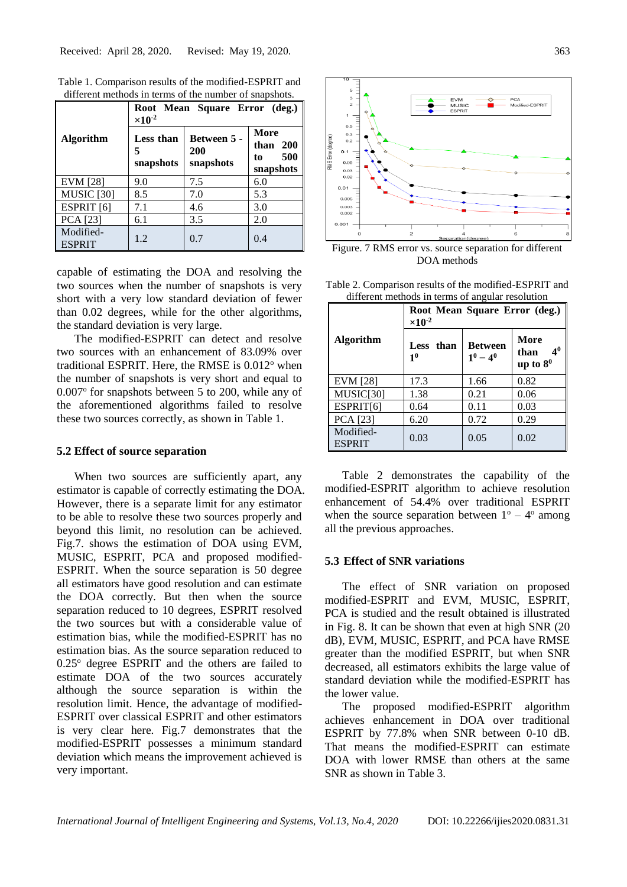|                            | Root Mean Square Error (deg.)<br>$\times 10^{-2}$ |                                 |                                              |
|----------------------------|---------------------------------------------------|---------------------------------|----------------------------------------------|
| Algorithm                  | Less than<br>5<br>snapshots                       | Between 5 -<br>200<br>snapshots | More<br>than $200$<br>500<br>to<br>snapshots |
| <b>EVM</b> [28]            | 9.0                                               | 7.5                             | 6.0                                          |
| <b>MUSIC</b> [30]          | 8.5                                               | 7.0                             | 5.3                                          |
| ESPRIT <sub>[6]</sub>      | 7.1                                               | 4.6                             | 3.0                                          |
| PCA [23]                   | 6.1                                               | 3.5                             | 2.0                                          |
| Modified-<br><b>ESPRIT</b> | 1.2                                               | 0.7                             | 0.4                                          |

Table 1. Comparison results of the modified-ESPRIT and different methods in terms of the number of snapshots.

capable of estimating the DOA and resolving the two sources when the number of snapshots is very short with a very low standard deviation of fewer than 0.02 degrees, while for the other algorithms, the standard deviation is very large.

The modified-ESPRIT can detect and resolve two sources with an enhancement of 83.09% over traditional ESPRIT. Here, the RMSE is  $0.012^{\circ}$  when the number of snapshots is very short and equal to 0.007° for snapshots between 5 to 200, while any of the aforementioned algorithms failed to resolve these two sources correctly, as shown in Table 1.

### **5.2 Effect of source separation**

When two sources are sufficiently apart, any estimator is capable of correctly estimating the DOA. However, there is a separate limit for any estimator to be able to resolve these two sources properly and beyond this limit, no resolution can be achieved. Fig.7. shows the estimation of DOA using EVM, MUSIC, ESPRIT, PCA and proposed modified-ESPRIT. When the source separation is 50 degree all estimators have good resolution and can estimate the DOA correctly. But then when the source separation reduced to 10 degrees, ESPRIT resolved the two sources but with a considerable value of estimation bias, while the modified-ESPRIT has no estimation bias. As the source separation reduced to  $0.25^{\circ}$  degree ESPRIT and the others are failed to estimate DOA of the two sources accurately although the source separation is within the resolution limit. Hence, the advantage of modified-ESPRIT over classical ESPRIT and other estimators is very clear here. Fig.7 demonstrates that the modified-ESPRIT possesses a minimum standard deviation which means the improvement achieved is very important.



Figure. 7 RMS error vs. source separation for different DOA methods

Table 2. Comparison results of the modified-ESPRIT and different methods in terms of angular resolution

|                            | Root Mean Square Error (deg.)<br>$\times 10^{-2}$ |                               |                                               |  |
|----------------------------|---------------------------------------------------|-------------------------------|-----------------------------------------------|--|
| <b>Algorithm</b>           | Less than<br>1 <sup>0</sup>                       | <b>Between</b><br>$1^0 - 4^0$ | More<br>4 <sup>0</sup><br>than<br>up to $8^0$ |  |
| <b>EVM</b> [28]            | 17.3                                              | 1.66                          | 0.82                                          |  |
| MUSIC[30]                  | 1.38                                              | 0.21                          | 0.06                                          |  |
| ESPRIT[6]                  | 0.64                                              | 0.11                          | 0.03                                          |  |
| PCA [23]                   | 6.20                                              | 0.72                          | 0.29                                          |  |
| Modified-<br><b>ESPRIT</b> | 0.03                                              | 0.05                          | 0.02                                          |  |

Table 2 demonstrates the capability of the modified-ESPRIT algorithm to achieve resolution enhancement of 54.4% over traditional ESPRIT when the source separation between  $1^{\circ} - 4^{\circ}$  among all the previous approaches.

#### **5.3 Effect of SNR variations**

The effect of SNR variation on proposed modified-ESPRIT and EVM, MUSIC, ESPRIT, PCA is studied and the result obtained is illustrated in Fig. 8. It can be shown that even at high SNR (20 dB), EVM, MUSIC, ESPRIT, and PCA have RMSE greater than the modified ESPRIT, but when SNR decreased, all estimators exhibits the large value of standard deviation while the modified-ESPRIT has the lower value.

The proposed modified-ESPRIT algorithm achieves enhancement in DOA over traditional ESPRIT by 77.8% when SNR between 0-10 dB. That means the modified-ESPRIT can estimate DOA with lower RMSE than others at the same SNR as shown in Table 3.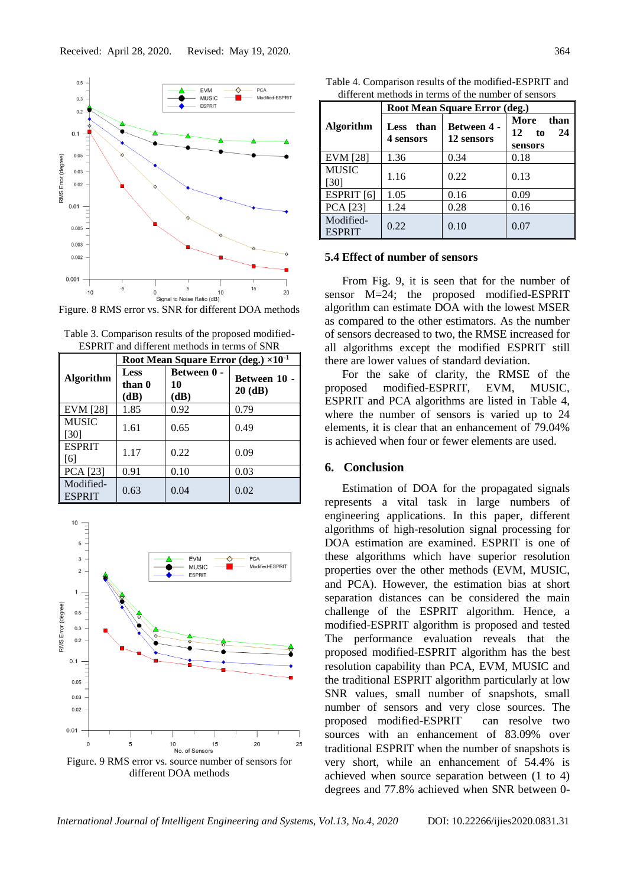

Figure. 8 RMS error vs. SNR for different DOA methods

| ESPINTE and different methods in terms of SINK |                                                 |                                  |                           |  |  |
|------------------------------------------------|-------------------------------------------------|----------------------------------|---------------------------|--|--|
|                                                | Root Mean Square Error (deg.) ×10 <sup>-1</sup> |                                  |                           |  |  |
| <b>Algorithm</b>                               | Less<br>than 0<br>(dB)                          | <b>Between 0 -</b><br>10<br>(dB) | Between 10 -<br>$20$ (dB) |  |  |
| <b>EVM</b> [28]                                | 1.85                                            | 0.92                             | 0.79                      |  |  |
| <b>MUSIC</b><br>[30]                           | 1.61                                            | 0.65                             | 0.49                      |  |  |
| <b>ESPRIT</b><br><sup>6</sup>                  | 1.17                                            | 0.22                             | 0.09                      |  |  |
| PCA [23]                                       | 0.91                                            | 0.10                             | 0.03                      |  |  |
| Modified-<br><b>ESPRIT</b>                     | 0.63                                            | 0.04                             | 0.02                      |  |  |

Table 3. Comparison results of the proposed modified-ESPRIT and different methods in terms of SNR



different DOA methods

Table 4. Comparison results of the modified-ESPRIT and different methods in terms of the number of sensors

|                            | Root Mean Square Error (deg.)    |                                  |                                           |  |
|----------------------------|----------------------------------|----------------------------------|-------------------------------------------|--|
| <b>Algorithm</b>           | than<br><b>Less</b><br>4 sensors | <b>Between 4 -</b><br>12 sensors | More<br>than<br>24<br>12<br>to<br>sensors |  |
| <b>EVM</b> [28]            | 1.36                             | 0.34                             | 0.18                                      |  |
| <b>MUSIC</b><br>[30]       | 1.16                             | 0.22                             | 0.13                                      |  |
| ESPRIT <sub>[6]</sub>      | 1.05                             | 0.16                             | 0.09                                      |  |
| PCA [23]                   | 1.24                             | 0.28                             | 0.16                                      |  |
| Modified-<br><b>ESPRIT</b> | 0.22                             | 0.10                             | 0.07                                      |  |

#### **5.4 Effect of number of sensors**

From Fig. 9, it is seen that for the number of sensor M=24; the proposed modified-ESPRIT algorithm can estimate DOA with the lowest MSER as compared to the other estimators. As the number of sensors decreased to two, the RMSE increased for all algorithms except the modified ESPRIT still there are lower values of standard deviation.

For the sake of clarity, the RMSE of the proposed modified-ESPRIT, EVM, MUSIC, ESPRIT and PCA algorithms are listed in Table 4, where the number of sensors is varied up to 24 elements, it is clear that an enhancement of 79.04% is achieved when four or fewer elements are used.

## **6. Conclusion**

Estimation of DOA for the propagated signals represents a vital task in large numbers of engineering applications. In this paper, different algorithms of high-resolution signal processing for DOA estimation are examined. ESPRIT is one of these algorithms which have superior resolution properties over the other methods (EVM, MUSIC, and PCA). However, the estimation bias at short separation distances can be considered the main challenge of the ESPRIT algorithm. Hence, a modified-ESPRIT algorithm is proposed and tested The performance evaluation reveals that the proposed modified-ESPRIT algorithm has the best resolution capability than PCA, EVM, MUSIC and the traditional ESPRIT algorithm particularly at low SNR values, small number of snapshots, small number of sensors and very close sources. The proposed modified-ESPRIT can resolve two sources with an enhancement of 83.09% over traditional ESPRIT when the number of snapshots is very short, while an enhancement of 54.4% is achieved when source separation between (1 to 4) degrees and 77.8% achieved when SNR between 0-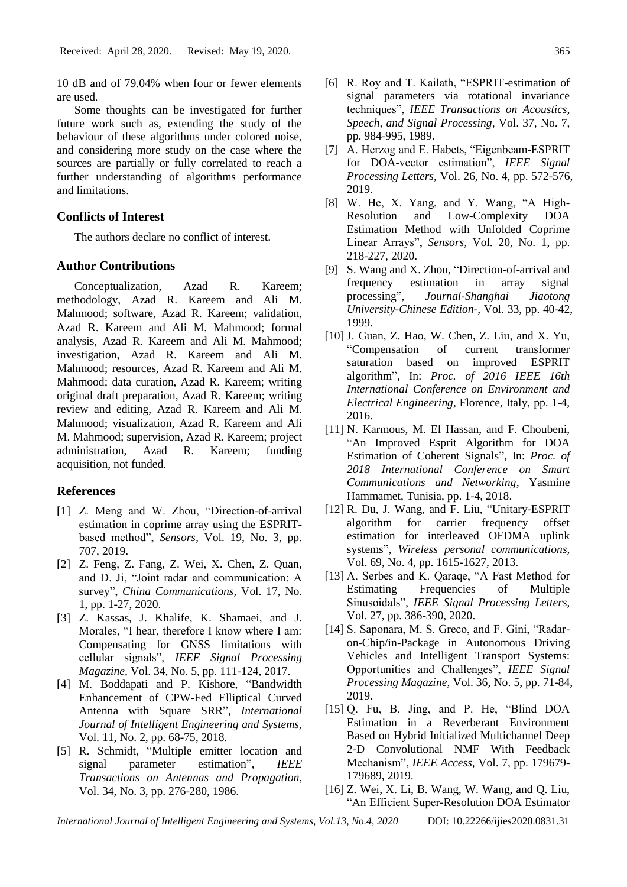10 dB and of 79.04% when four or fewer elements are used.

Some thoughts can be investigated for further future work such as, extending the study of the behaviour of these algorithms under colored noise, and considering more study on the case where the sources are partially or fully correlated to reach a further understanding of algorithms performance and limitations.

## **Conflicts of Interest**

The authors declare no conflict of interest.

## **Author Contributions**

Conceptualization, Azad R. Kareem; methodology, Azad R. Kareem and Ali M. Mahmood; software, Azad R. Kareem; validation, Azad R. Kareem and Ali M. Mahmood; formal analysis, Azad R. Kareem and Ali M. Mahmood; investigation, Azad R. Kareem and Ali M. Mahmood; resources, Azad R. Kareem and Ali M. Mahmood; data curation, Azad R. Kareem; writing original draft preparation, Azad R. Kareem; writing review and editing, Azad R. Kareem and Ali M. Mahmood; visualization, Azad R. Kareem and Ali M. Mahmood; supervision, Azad R. Kareem; project administration, Azad R. Kareem; funding acquisition, not funded.

### **References**

- [1] Z. Meng and W. Zhou, "Direction-of-arrival estimation in coprime array using the ESPRITbased method", *Sensors,* Vol. 19, No. 3, pp. 707, 2019.
- [2] Z. Feng, Z. Fang, Z. Wei, X. Chen, Z. Quan, and D. Ji, "Joint radar and communication: A survey", *China Communications,* Vol. 17, No. 1, pp. 1-27, 2020.
- [3] Z. Kassas, J. Khalife, K. Shamaei, and J. Morales, "I hear, therefore I know where I am: Compensating for GNSS limitations with cellular signals", *IEEE Signal Processing Magazine,* Vol. 34, No. 5, pp. 111-124, 2017.
- [4] M. Boddapati and P. Kishore, "Bandwidth Enhancement of CPW-Fed Elliptical Curved Antenna with Square SRR", *International Journal of Intelligent Engineering and Systems,*  Vol. 11, No. 2, pp. 68-75, 2018.
- [5] R. Schmidt, "Multiple emitter location and signal parameter estimation", *IEEE Transactions on Antennas and Propagation,*  Vol. 34, No. 3, pp. 276-280, 1986.
- [6] R. Roy and T. Kailath, "ESPRIT-estimation of signal parameters via rotational invariance techniques", *IEEE Transactions on Acoustics, Speech, and Signal Processing,* Vol. 37, No. 7, pp. 984-995, 1989.
- [7] A. Herzog and E. Habets, "Eigenbeam-ESPRIT for DOA-vector estimation", *IEEE Signal Processing Letters,* Vol. 26, No. 4, pp. 572-576, 2019.
- [8] W. He, X. Yang, and Y. Wang, "A High-Resolution and Low-Complexity DOA Estimation Method with Unfolded Coprime Linear Arrays", *Sensors,* Vol. 20, No. 1, pp. 218-227, 2020.
- [9] S. Wang and X. Zhou, "Direction-of-arrival and frequency estimation in array signal processing", *Journal-Shanghai Jiaotong University-Chinese Edition-,* Vol. 33, pp. 40-42, 1999.
- [10] J. Guan, Z. Hao, W. Chen, Z. Liu, and X. Yu, "Compensation of current transformer saturation based on improved ESPRIT algorithm", In: *Proc. of 2016 IEEE 16th International Conference on Environment and Electrical Engineering*, Florence, Italy, pp. 1-4, 2016.
- [11] N. Karmous, M. El Hassan, and F. Choubeni, "An Improved Esprit Algorithm for DOA Estimation of Coherent Signals", In: *Proc. of 2018 International Conference on Smart Communications and Networking*, Yasmine Hammamet, Tunisia, pp. 1-4, 2018.
- [12] R. Du, J. Wang, and F. Liu, "Unitary-ESPRIT algorithm for carrier frequency offset estimation for interleaved OFDMA uplink systems", *Wireless personal communications,*  Vol. 69, No. 4, pp. 1615-1627, 2013.
- [13] A. Serbes and K. Qaraqe, "A Fast Method for Estimating Frequencies of Multiple Sinusoidals", *IEEE Signal Processing Letters*, Vol. 27, pp. 386-390, 2020.
- [14] S. Saponara, M. S. Greco, and F. Gini, "Radaron-Chip/in-Package in Autonomous Driving Vehicles and Intelligent Transport Systems: Opportunities and Challenges", *IEEE Signal Processing Magazine,* Vol. 36, No. 5, pp. 71-84, 2019.
- [15] Q. Fu, B. Jing, and P. He, "Blind DOA Estimation in a Reverberant Environment Based on Hybrid Initialized Multichannel Deep 2-D Convolutional NMF With Feedback Mechanism", *IEEE Access,* Vol. 7, pp. 179679- 179689, 2019.
- [16] Z. Wei, X. Li, B. Wang, W. Wang, and Q. Liu, "An Efficient Super-Resolution DOA Estimator